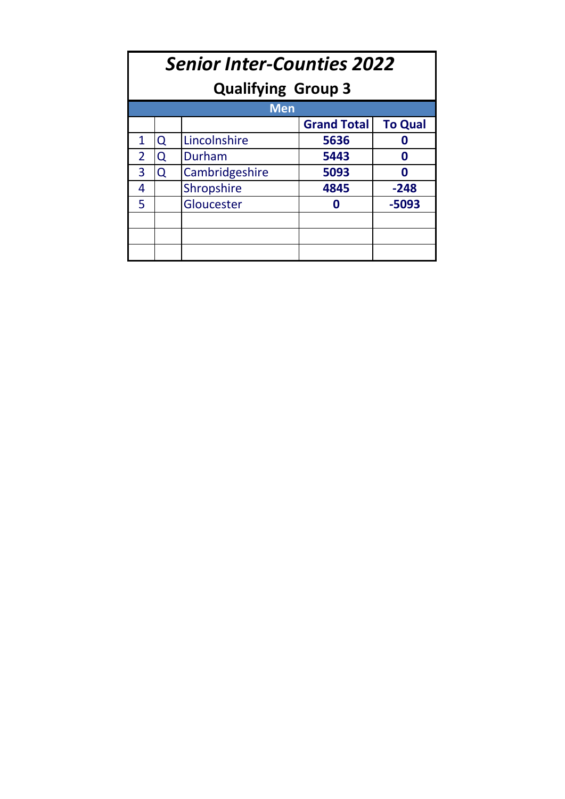| <b>Senior Inter-Counties 2022</b><br><b>Qualifying Group 3</b> |            |                |      |        |  |  |  |  |  |  |
|----------------------------------------------------------------|------------|----------------|------|--------|--|--|--|--|--|--|
|                                                                | <b>Men</b> |                |      |        |  |  |  |  |  |  |
| <b>Grand Total</b><br><b>To Qual</b>                           |            |                |      |        |  |  |  |  |  |  |
| 1                                                              | Q          | Lincolnshire   | 5636 |        |  |  |  |  |  |  |
| $\overline{2}$                                                 | Q          | Durham         | 5443 | ω      |  |  |  |  |  |  |
| 3                                                              | $\Omega$   | Cambridgeshire | 5093 | ω      |  |  |  |  |  |  |
| 4                                                              |            | Shropshire     | 4845 | $-248$ |  |  |  |  |  |  |
| 5                                                              |            | Gloucester     | Ω    | -5093  |  |  |  |  |  |  |
|                                                                |            |                |      |        |  |  |  |  |  |  |
|                                                                |            |                |      |        |  |  |  |  |  |  |
|                                                                |            |                |      |        |  |  |  |  |  |  |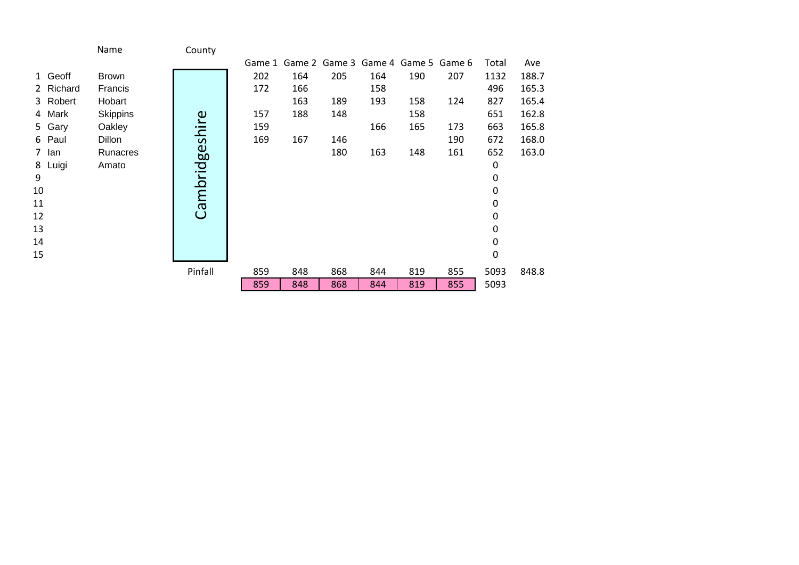|           | Name            | County         |     |                                           |     |     |     |     |       |       |
|-----------|-----------------|----------------|-----|-------------------------------------------|-----|-----|-----|-----|-------|-------|
|           |                 |                |     | Game 1 Game 2 Game 3 Game 4 Game 5 Game 6 |     |     |     |     | Total | Ave   |
| 1 Geoff   | <b>Brown</b>    |                | 202 | 164                                       | 205 | 164 | 190 | 207 | 1132  | 188.7 |
| 2 Richard | Francis         |                | 172 | 166                                       |     | 158 |     |     | 496   | 165.3 |
| 3 Robert  | Hobart          |                |     | 163                                       | 189 | 193 | 158 | 124 | 827   | 165.4 |
| 4 Mark    | <b>Skippins</b> |                | 157 | 188                                       | 148 |     | 158 |     | 651   | 162.8 |
| 5 Gary    | Oakley          |                | 159 |                                           |     | 166 | 165 | 173 | 663   | 165.8 |
| 6 Paul    | Dillon          |                | 169 | 167                                       | 146 |     |     | 190 | 672   | 168.0 |
| 7 lan     | Runacres        |                |     |                                           | 180 | 163 | 148 | 161 | 652   | 163.0 |
| 8 Luigi   | Amato           |                |     |                                           |     |     |     |     | 0     |       |
| 9         |                 | Cambridgeshire |     |                                           |     |     |     |     | 0     |       |
| 10        |                 |                |     |                                           |     |     |     |     | 0     |       |
| 11        |                 |                |     |                                           |     |     |     |     | 0     |       |
| 12        |                 |                |     |                                           |     |     |     |     | 0     |       |
| 13        |                 |                |     |                                           |     |     |     |     | 0     |       |
| 14        |                 |                |     |                                           |     |     |     |     | 0     |       |
| 15        |                 |                |     |                                           |     |     |     |     | 0     |       |
|           |                 | Pinfall        | 859 | 848                                       | 868 | 844 | 819 | 855 | 5093  | 848.8 |
|           |                 |                | 859 | 848                                       | 868 | 844 | 819 | 855 | 5093  |       |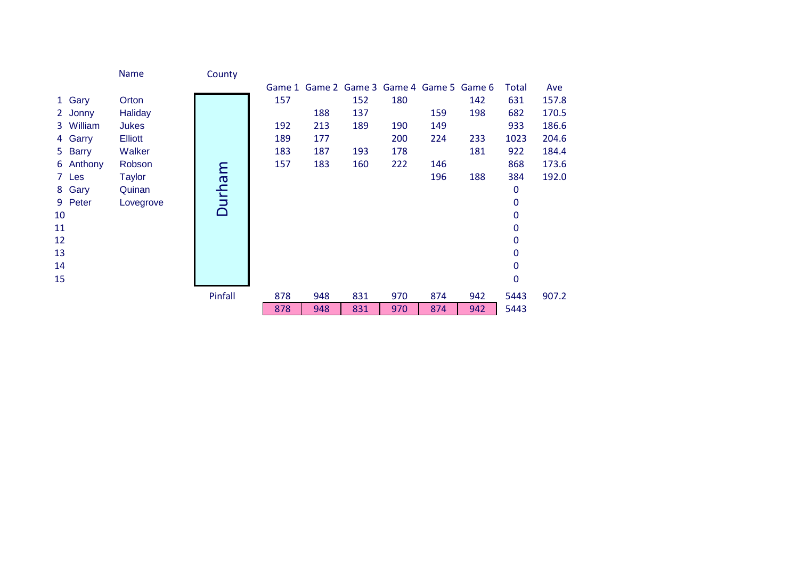|    |           | Name           | County  |     |                                           |     |     |     |     |              |       |
|----|-----------|----------------|---------|-----|-------------------------------------------|-----|-----|-----|-----|--------------|-------|
|    |           |                |         |     | Game 1 Game 2 Game 3 Game 4 Game 5 Game 6 |     |     |     |     | Total        | Ave   |
|    | 1 Gary    | Orton          |         | 157 |                                           | 152 | 180 |     | 142 | 631          | 157.8 |
|    | 2 Jonny   | <b>Haliday</b> |         |     | 188                                       | 137 |     | 159 | 198 | 682          | 170.5 |
|    | 3 William | <b>Jukes</b>   |         | 192 | 213                                       | 189 | 190 | 149 |     | 933          | 186.6 |
|    | 4 Garry   | <b>Elliott</b> |         | 189 | 177                                       |     | 200 | 224 | 233 | 1023         | 204.6 |
|    | 5 Barry   | Walker         |         | 183 | 187                                       | 193 | 178 |     | 181 | 922          | 184.4 |
|    | 6 Anthony | Robson         |         | 157 | 183                                       | 160 | 222 | 146 |     | 868          | 173.6 |
|    | 7 Les     | <b>Taylor</b>  |         |     |                                           |     |     | 196 | 188 | 384          | 192.0 |
|    | 8 Gary    | Quinan         |         |     |                                           |     |     |     |     | 0            |       |
|    | 9 Peter   | Lovegrove      | Durham  |     |                                           |     |     |     |     | 0            |       |
| 10 |           |                |         |     |                                           |     |     |     |     | 0            |       |
| 11 |           |                |         |     |                                           |     |     |     |     | 0            |       |
| 12 |           |                |         |     |                                           |     |     |     |     | $\mathbf 0$  |       |
| 13 |           |                |         |     |                                           |     |     |     |     | $\mathbf 0$  |       |
| 14 |           |                |         |     |                                           |     |     |     |     | 0            |       |
| 15 |           |                |         |     |                                           |     |     |     |     | $\mathbf{0}$ |       |
|    |           |                | Pinfall | 878 | 948                                       | 831 | 970 | 874 | 942 | 5443         | 907.2 |
|    |           |                |         | 878 | 948                                       | 831 | 970 | 874 | 942 | 5443         |       |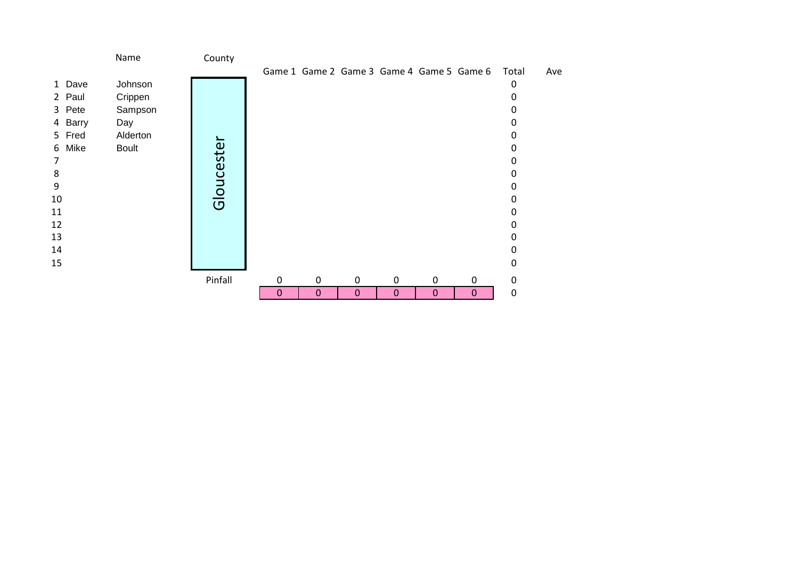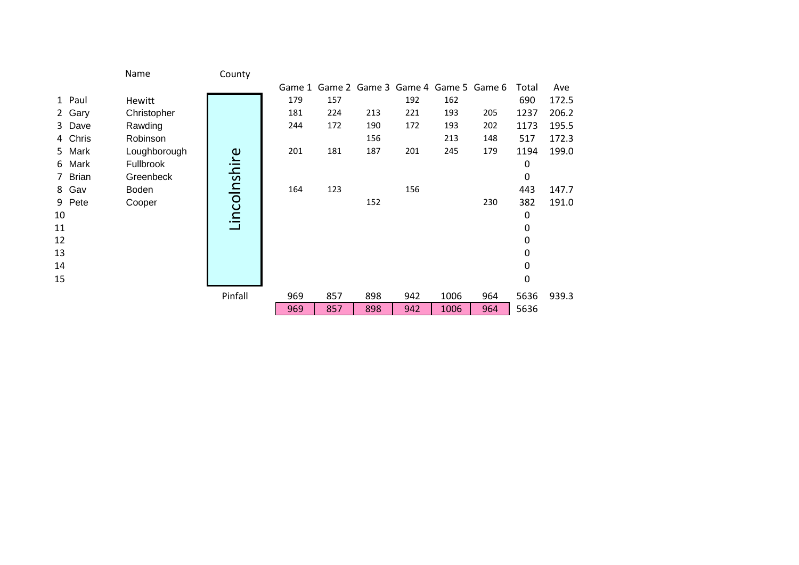|    |         | Name         | County       |     |     |     |                                           |      |     |       |       |
|----|---------|--------------|--------------|-----|-----|-----|-------------------------------------------|------|-----|-------|-------|
|    |         |              |              |     |     |     | Game 1 Game 2 Game 3 Game 4 Game 5 Game 6 |      |     | Total | Ave   |
|    | 1 Paul  | Hewitt       |              | 179 | 157 |     | 192                                       | 162  |     | 690   | 172.5 |
|    | 2 Gary  | Christopher  |              | 181 | 224 | 213 | 221                                       | 193  | 205 | 1237  | 206.2 |
|    | 3 Dave  | Rawding      |              | 244 | 172 | 190 | 172                                       | 193  | 202 | 1173  | 195.5 |
|    | 4 Chris | Robinson     |              |     |     | 156 |                                           | 213  | 148 | 517   | 172.3 |
|    | 5 Mark  | Loughborough |              | 201 | 181 | 187 | 201                                       | 245  | 179 | 1194  | 199.0 |
|    | 6 Mark  | Fullbrook    |              |     |     |     |                                           |      |     | 0     |       |
|    | 7 Brian | Greenbeck    |              |     |     |     |                                           |      |     | 0     |       |
|    | 8 Gav   | Boden        |              | 164 | 123 |     | 156                                       |      |     | 443   | 147.7 |
|    | 9 Pete  | Cooper       | Lincolnshire |     |     | 152 |                                           |      | 230 | 382   | 191.0 |
| 10 |         |              |              |     |     |     |                                           |      |     | 0     |       |
| 11 |         |              |              |     |     |     |                                           |      |     | 0     |       |
| 12 |         |              |              |     |     |     |                                           |      |     | 0     |       |
| 13 |         |              |              |     |     |     |                                           |      |     | 0     |       |
| 14 |         |              |              |     |     |     |                                           |      |     | 0     |       |
| 15 |         |              |              |     |     |     |                                           |      |     | 0     |       |
|    |         |              | Pinfall      | 969 | 857 | 898 | 942                                       | 1006 | 964 | 5636  | 939.3 |
|    |         |              |              | 969 | 857 | 898 | 942                                       | 1006 | 964 | 5636  |       |
|    |         |              |              |     |     |     |                                           |      |     |       |       |